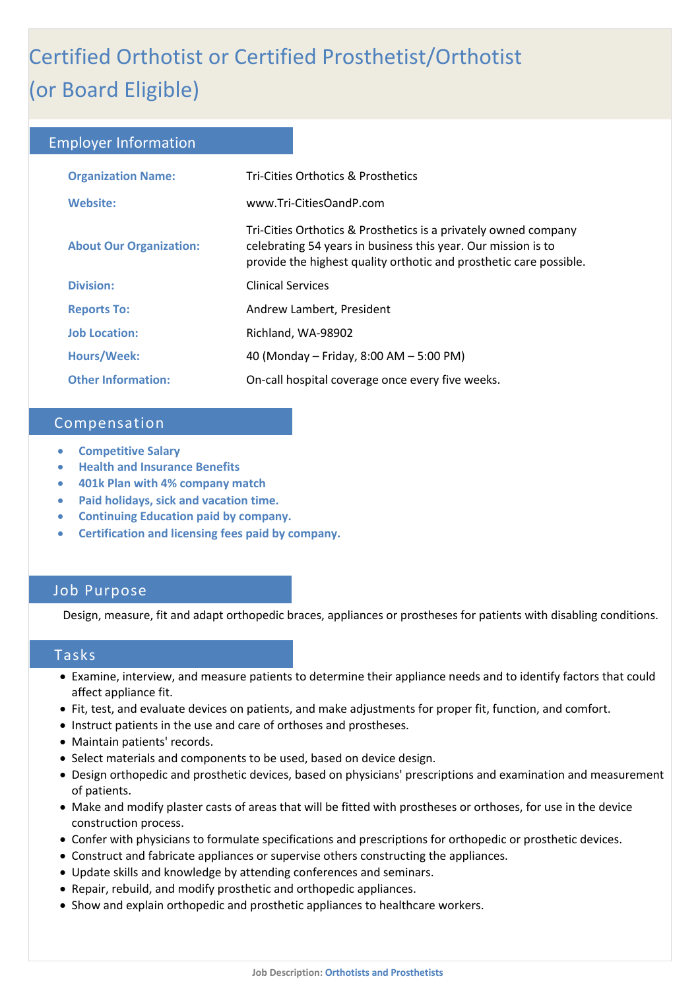# ľ Certified Orthotist or Certified Prosthetist/Orthotist (or Board Eligible)

## Employer Information

| <b>Organization Name:</b>      | Tri-Cities Orthotics & Prosthetics                                                                                                                                                                     |
|--------------------------------|--------------------------------------------------------------------------------------------------------------------------------------------------------------------------------------------------------|
| <b>Website:</b>                | www.Tri-CitiesOandP.com                                                                                                                                                                                |
| <b>About Our Organization:</b> | Tri-Cities Orthotics & Prosthetics is a privately owned company<br>celebrating 54 years in business this year. Our mission is to<br>provide the highest quality orthotic and prosthetic care possible. |
| <b>Division:</b>               | <b>Clinical Services</b>                                                                                                                                                                               |
| <b>Reports To:</b>             | Andrew Lambert, President                                                                                                                                                                              |
| <b>Job Location:</b>           | Richland, WA-98902                                                                                                                                                                                     |
| Hours/Week:                    | 40 (Monday – Friday, 8:00 AM – 5:00 PM)                                                                                                                                                                |
| <b>Other Information:</b>      | On-call hospital coverage once every five weeks.                                                                                                                                                       |

# Compensation

- **Competitive Salary**
- **Health and Insurance Benefits**
- **401k Plan with 4% company match**
- **Paid holidays, sick and vacation time.**
- **Continuing Education paid by company.**
- **Certification and licensing fees paid by company.**

# Job Purpose

Design, measure, fit and adapt orthopedic braces, appliances or prostheses for patients with disabling conditions.

## Tasks

- Examine, interview, and measure patients to determine their appliance needs and to identify factors that could affect appliance fit.
- Fit, test, and evaluate devices on patients, and make adjustments for proper fit, function, and comfort.
- Instruct patients in the use and care of orthoses and prostheses.
- Maintain patients' records.
- Select materials and components to be used, based on device design.
- Design orthopedic and prosthetic devices, based on physicians' prescriptions and examination and measurement of patients.
- Make and modify plaster casts of areas that will be fitted with prostheses or orthoses, for use in the device construction process.
- Confer with physicians to formulate specifications and prescriptions for orthopedic or prosthetic devices.
- Construct and fabricate appliances or supervise others constructing the appliances.
- Update skills and knowledge by attending conferences and seminars.
- Repair, rebuild, and modify prosthetic and orthopedic appliances.
- Show and explain orthopedic and prosthetic appliances to healthcare workers.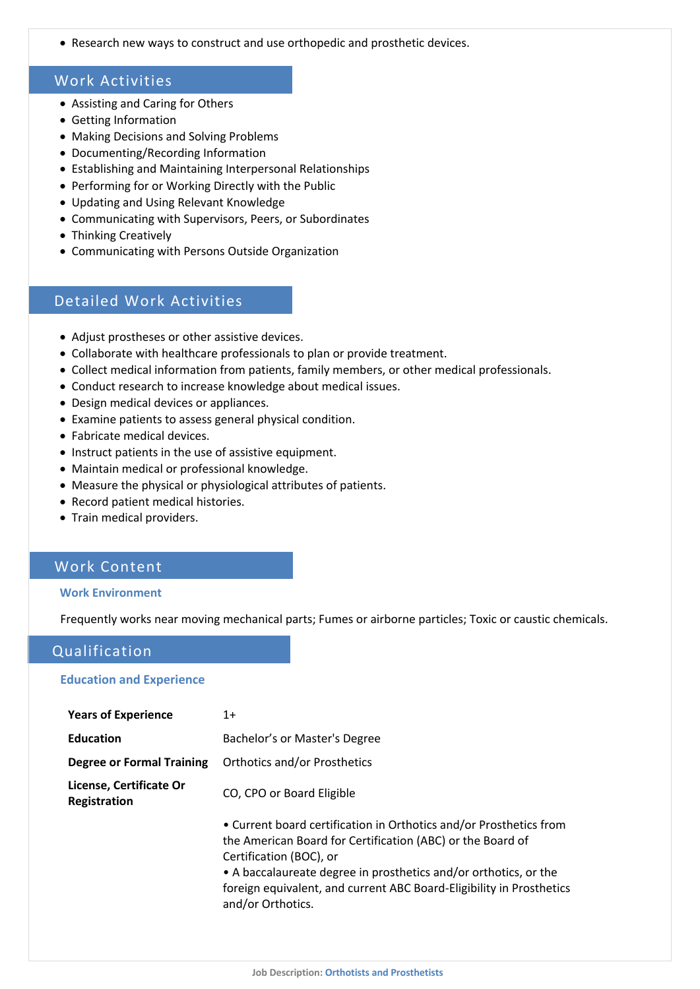• Research new ways to construct and use orthopedic and prosthetic devices.

# Work Activities

- Assisting and Caring for Others
- Getting Information
- Making Decisions and Solving Problems
- Documenting/Recording Information
- Establishing and Maintaining Interpersonal Relationships
- Performing for or Working Directly with the Public
- Updating and Using Relevant Knowledge
- Communicating with Supervisors, Peers, or Subordinates
- Thinking Creatively
- Communicating with Persons Outside Organization

# Detailed Work Activities

- Adjust prostheses or other assistive devices.
- Collaborate with healthcare professionals to plan or provide treatment.
- Collect medical information from patients, family members, or other medical professionals.
- Conduct research to increase knowledge about medical issues.
- Design medical devices or appliances.
- Examine patients to assess general physical condition.
- Fabricate medical devices.
- Instruct patients in the use of assistive equipment.
- Maintain medical or professional knowledge.
- Measure the physical or physiological attributes of patients.
- Record patient medical histories.
- Train medical providers.

# Work Content

#### **Work Environment**

Frequently works near moving mechanical parts; Fumes or airborne particles; Toxic or caustic chemicals.

# Qualification

#### **Education and Experience**

| <b>Years of Experience</b>              | $1+$                                                                                                                                                                                                                                                                                                                         |
|-----------------------------------------|------------------------------------------------------------------------------------------------------------------------------------------------------------------------------------------------------------------------------------------------------------------------------------------------------------------------------|
| <b>Education</b>                        | Bachelor's or Master's Degree                                                                                                                                                                                                                                                                                                |
| <b>Degree or Formal Training</b>        | <b>Orthotics and/or Prosthetics</b>                                                                                                                                                                                                                                                                                          |
| License, Certificate Or<br>Registration | CO, CPO or Board Eligible                                                                                                                                                                                                                                                                                                    |
|                                         | • Current board certification in Orthotics and/or Prosthetics from<br>the American Board for Certification (ABC) or the Board of<br>Certification (BOC), or<br>• A baccalaureate degree in prosthetics and/or orthotics, or the<br>foreign equivalent, and current ABC Board-Eligibility in Prosthetics<br>and/or Orthotics. |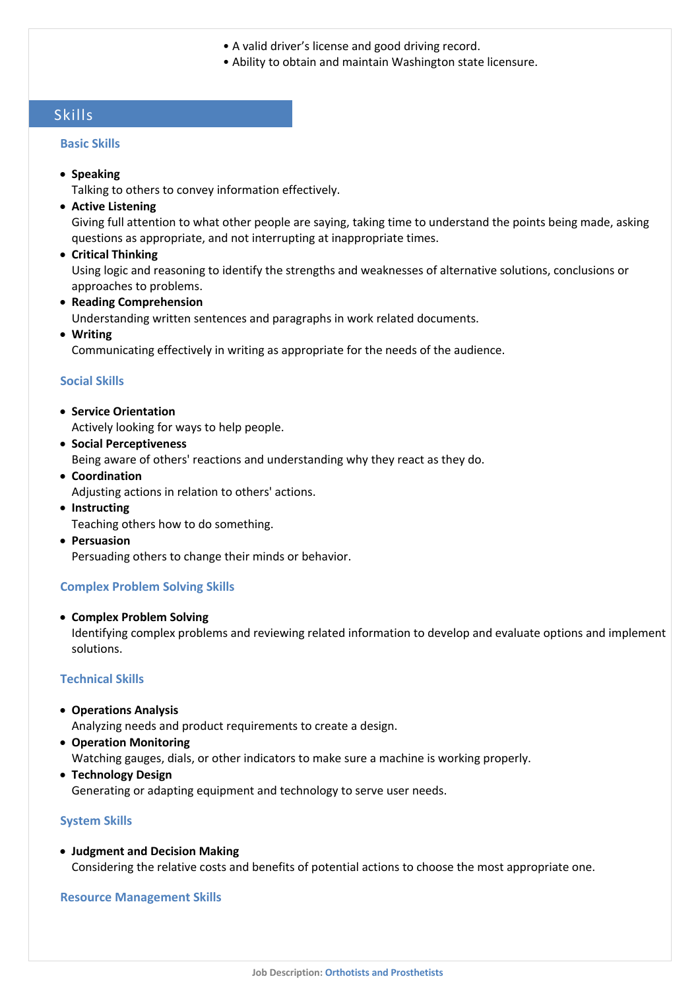- A valid driver's license and good driving record.
- Ability to obtain and maintain Washington state licensure.

# Skills

#### **Basic Skills**

• **Speaking**

Talking to others to convey information effectively.

• **Active Listening**

Giving full attention to what other people are saying, taking time to understand the points being made, asking questions as appropriate, and not interrupting at inappropriate times.

• **Critical Thinking**

Using logic and reasoning to identify the strengths and weaknesses of alternative solutions, conclusions or approaches to problems.

• **Reading Comprehension**

Understanding written sentences and paragraphs in work related documents.

• **Writing**

Communicating effectively in writing as appropriate for the needs of the audience.

#### **Social Skills**

- **Service Orientation** Actively looking for ways to help people.
- **Social Perceptiveness**

Being aware of others' reactions and understanding why they react as they do.

- **Coordination** Adjusting actions in relation to others' actions.
- **Instructing**

Teaching others how to do something.

• **Persuasion**

Persuading others to change their minds or behavior.

#### **Complex Problem Solving Skills**

• **Complex Problem Solving**

Identifying complex problems and reviewing related information to develop and evaluate options and implement solutions.

#### **Technical Skills**

• **Operations Analysis**

Analyzing needs and product requirements to create a design.

• **Operation Monitoring**

Watching gauges, dials, or other indicators to make sure a machine is working properly.

• **Technology Design**

Generating or adapting equipment and technology to serve user needs.

#### **System Skills**

• **Judgment and Decision Making** Considering the relative costs and benefits of potential actions to choose the most appropriate one.

#### **Resource Management Skills**